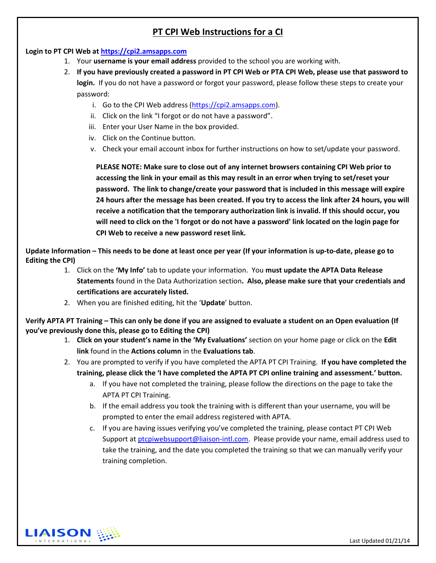# **PT CPI Web Instructions for a CI**

## **Login to PT CPI Web a[t https://cpi2.amsapps.com](https://cpi2.amsapps.com/)**

- 1. Your **username is your email address** provided to the school you are working with.
- 2. **If you have previously created a password in PT CPI Web or PTA CPI Web, please use that password to login.** If you do not have a password or forgot your password, please follow these steps to create your password:
	- i. Go to the CPI Web address [\(https://cpi2.amsapps.com\)](https://cpi2.amsapps.com/).
	- ii. Click on the link "I forgot or do not have a password".
	- iii. Enter your User Name in the box provided.
	- iv. Click on the Continue button.
	- v. Check your email account inbox for further instructions on how to set/update your password.

**PLEASE NOTE: Make sure to close out of any internet browsers containing CPI Web prior to accessing the link in your email as this may result in an error when trying to set/reset your password. The link to change/create your password that is included in this message will expire 24 hours after the message has been created. If you try to access the link after 24 hours, you will receive a notification that the temporary authorization link is invalid. If this should occur, you will need to click on the 'I forgot or do not have a password' link located on the login page for CPI Web to receive a new password reset link.**

**Update Information – This needs to be done at least once per year (If your information is up-to-date, please go to Editing the CPI)**

- 1. Click on the **'My Info'** tab to update your information. You **must update the APTA Data Release Statements** found in the Data Authorization section**. Also, please make sure that your credentials and certifications are accurately listed.**
- 2. When you are finished editing, hit the '**Update**' button.

**Verify APTA PT Training – This can only be done if you are assigned to evaluate a student on an Open evaluation (If you've previously done this, please go to Editing the CPI)**

- 1. **Click on your student's name in the 'My Evaluations'** section on your home page or click on the **Edit link** found in the **Actions column** in the **Evaluations tab**.
- 2. You are prompted to verify if you have completed the APTA PT CPI Training. **If you have completed the training, please click the 'I have completed the APTA PT CPI online training and assessment.' button.**
	- a. If you have not completed the training, please follow the directions on the page to take the APTA PT CPI Training.
	- b. If the email address you took the training with is different than your username, you will be prompted to enter the email address registered with APTA.
	- c. If you are having issues verifying you've completed the training, please contact PT CPI Web Support at [ptcpiwebsupport@liaison-intl.com.](mailto:ptcpiwebsupport@liaison-intl.com) Please provide your name, email address used to take the training, and the date you completed the training so that we can manually verify your training completion.

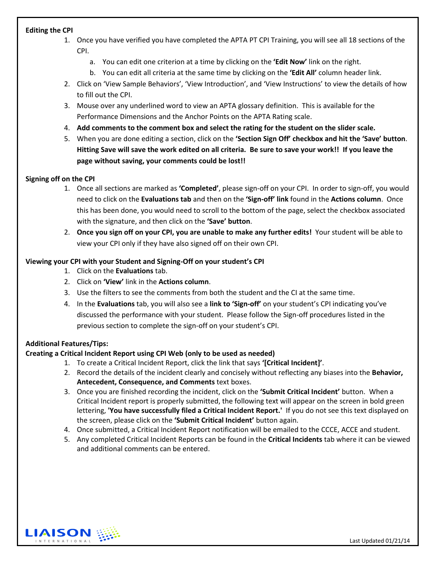#### **Editing the CPI**

- 1. Once you have verified you have completed the APTA PT CPI Training, you will see all 18 sections of the CPI.
	- a. You can edit one criterion at a time by clicking on the **'Edit Now'** link on the right.
	- b. You can edit all criteria at the same time by clicking on the **'Edit All'** column header link.
- 2. Click on 'View Sample Behaviors', 'View Introduction', and 'View Instructions' to view the details of how to fill out the CPI.
- 3. Mouse over any underlined word to view an APTA glossary definition. This is available for the Performance Dimensions and the Anchor Points on the APTA Rating scale.
- 4. **Add comments to the comment box and select the rating for the student on the slider scale.**
- 5. When you are done editing a section, click on the **'Section Sign Off' checkbox and hit the 'Save' button**. **Hitting Save will save the work edited on all criteria. Be sure to save your work!! If you leave the page without saving, your comments could be lost!!**

#### **Signing off on the CPI**

- 1. Once all sections are marked as **'Completed'**, please sign-off on your CPI. In order to sign-off, you would need to click on the **Evaluations tab** and then on the **'Sign-off' link** found in the **Actions column**. Once this has been done, you would need to scroll to the bottom of the page, select the checkbox associated with the signature, and then click on the **'Save' button**.
- 2. **Once you sign off on your CPI, you are unable to make any further edits!** Your student will be able to view your CPI only if they have also signed off on their own CPI.

#### **Viewing your CPI with your Student and Signing-Off on your student's CPI**

- 1. Click on the **Evaluations** tab.
- 2. Click on **'View'** link in the **Actions column**.
- 3. Use the filters to see the comments from both the student and the CI at the same time.
- 4. In the **Evaluations** tab, you will also see a **link to 'Sign-off'** on your student's CPI indicating you've discussed the performance with your student. Please follow the Sign-off procedures listed in the previous section to complete the sign-off on your student's CPI.

### **Additional Features/Tips:**

### **Creating a Critical Incident Report using CPI Web (only to be used as needed)**

- 1. To create a Critical Incident Report, click the link that says **'[Critical Incident]'**.
- 2. Record the details of the incident clearly and concisely without reflecting any biases into the **Behavior, Antecedent, Consequence, and Comments** text boxes.
- 3. Once you are finished recording the incident, click on the **'Submit Critical Incident'** button. When a Critical Incident report is properly submitted, the following text will appear on the screen in bold green lettering, **'You have successfully filed a Critical Incident Report.'** If you do not see this text displayed on the screen, please click on the **'Submit Critical Incident'** button again.
- 4. Once submitted, a Critical Incident Report notification will be emailed to the CCCE, ACCE and student.
- 5. Any completed Critical Incident Reports can be found in the **Critical Incidents** tab where it can be viewed and additional comments can be entered.